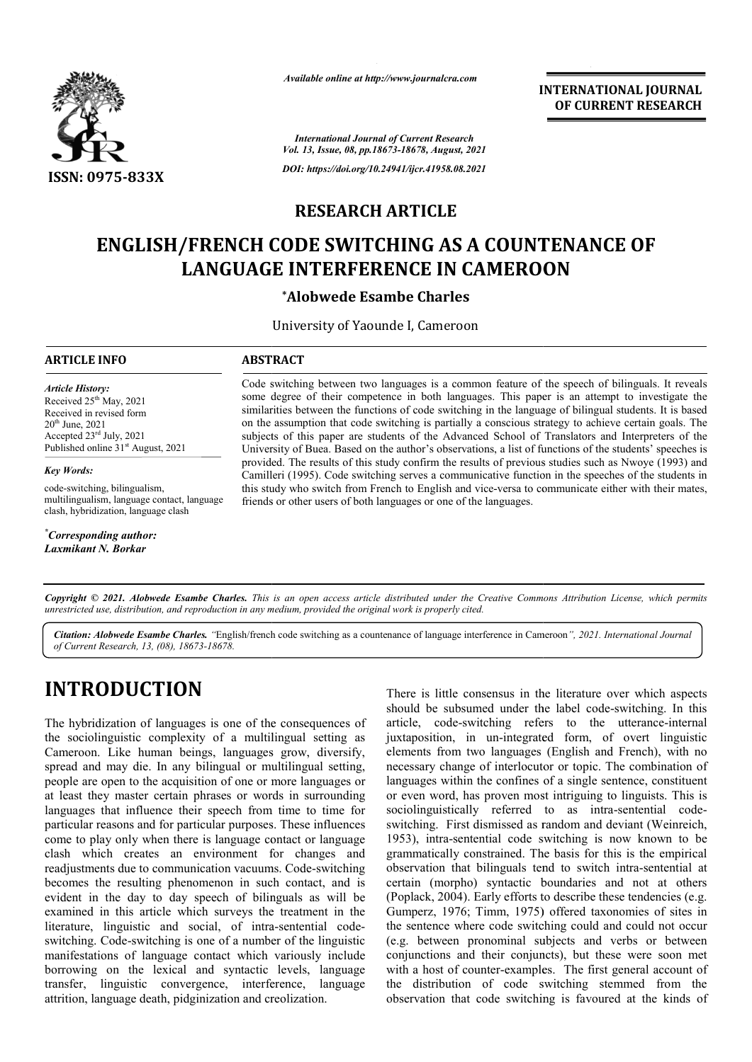

*Available online at http://www.journalcra.com*

**INTERNATIONAL JOURNAL OF CURRENT RESEARCH**

*International Journal of Current Research Vol. 13, Issue, 08, pp.18673-18678, August, 2021 DOI: https://doi.org/10.24941/ijcr.41958.08.2021*

## **RESEARCH ARTICLE**

# **ENGLISH/FRENCH CODE SWITCHING AS A COUNTENANCE OF LANGUAGE INTERFERENCE IN CAMEROON LANGUAGE INTERFERENCE IN CAMEROON**

### **\*Alobwede Esambe Charles**

University of Yaounde I, Cameroon

#### **ARTICLE INFO ABSTRACT**

*Article History: Article History:* Received  $25<sup>th</sup>$  May, 2021 Received in revised form Received in revised form Received in revised form<br>20<sup>th</sup> June, 2021 Accepted  $23^{\text{rd}}$  July, 2021 Published online 31<sup>st</sup> August, 2021

*Key Words:*

code-switching, bilingualism, multilingualism, language contact, language clash, hybridization, language clash

*\* Corresponding author: Laxmikant N. Borkar*

Code switching between two languages is a common feature of the speech of bilinguals. It reveals some degree of their competence in both languages. This paper is an attempt to investigate the similarities between the functions of code switching in the language of bilingual students. It is based on the assumption that code switching is partially a conscious strategy to achieve certain goals. The subjects of this paper are students of the Advanced School of Translators and Interpreters of the University of Buea. Based on the author's observations, a list of functions of the students' speeches is provided. The results of this study confirm the results of previous studies such as Nwoye (1993) and Camilleri (1995). Code switching serves a communicative function in the speeches of the students in this study who switch from French to English and vice-versa to communicate either with their mates, friends or other users of both languages or one of the languages. Code switching between two languages is a common feature of the speech of bilinguals. It reveals some degree of their competence in both languages. This paper is an attempt to investigate the similarities between the funct University of Buea. Based on the author's observations, a list of functions of the students' spee<br>provided. The results of this study confirm the results of previous studies such as Nwoye (199<br>Camilleri (1995). Code switch

Copyright © 2021. Alobwede Esambe Charles. This is an open access article distributed under the Creative Commons Attribution License, which permits *unrestricted use, distribution, and reproduction in any medium, provided the original work is properly cited.*

Citation: Alobwede Esambe Charles. "English/french code switching as a countenance of language interference in Cameroon", 2021. International Journal *of Current Research, 13, (08), 18673-18678.*

# **INTRODUCTION**

The hybridization of languages is one of the consequences of the sociolinguistic complexity of a multilingual setting as Cameroon. Like human beings, languages grow, diversify, spread and may die. In any bilingual or multilingual setting, people are open to the acquisition of one or more languages or at least they master certain phrases or words in surrounding languages that influence their speech from time to time for particular reasons and for particular purposes. These influences come to play only when there is language contact or language clash which creates an environment for changes and people are open to the acquisition of one or more languages or<br>at least they master certain phrases or words in surrounding<br>languages that influence their speech from time to time for<br>particular reasons and for particular becomes the resulting phenomenon in such contact, and is evident in the day to day speech of bilinguals as will b be examined in this article which surveys the treatment in the literature, linguistic and social, of intra-sentential codeswitching. Code-switching is one of a number of the linguistic manifestations of language contact which variously include borrowing on the lexical and syntactic levels, language transfer, linguistic convergence, interference, language attrition, language death, pidginization and creolization.

THET STERT STERT STERT STERT STERT SHOW There is little consensus in the literature over which aspects<br>should be subsumed under the label code-switching. In this<br>complexity of a multilingual setting as juxtaposition, in un There is little consensus in the literature over which aspects should be subsumed under the label code-switching. In this article, code-switching refers to the utterance-internal juxtaposition, in un-integrated form, of overt linguistic elements from two languages (English and French), with no necessary change of interlocutor or topic. The combination of languages within the confines of a single sentence, constituent or even word, has proven most intriguing to linguists. This is sociolinguistically referred to as intra-sentential codeswitching. First dismissed as random and deviant (Weinreich, 1953), intra-sentential code switching is now known to be grammatically constrained. The basis for this is the empirical switching. First dismissed as random and deviant (Weinreich, 1953), intra-sentential code switching is now known to be grammatically constrained. The basis for this is the empirical observation that bilinguals tend to swit certain (morpho) syntactic boundaries and not at others (Poplack, 2004). Early efforts to describe these tendencies (e.g. Gumperz, 1976; Timm, 1975) offered taxonomies of sites in the sentence where code switching could and could not occur (e.g. between pronominal subjects and verbs or between conjunctions and their conjuncts), but these were soon met (e.g. between pronominal subjects and verbs or between conjunctions and their conjuncts), but these were soon met with a host of counter-examples. The first general account of the distribution of code switching stemmed from the observation that code switching is favoured at the kinds of in un-integrated form, of overt linguistic<br>two languages (English and French), with no<br>ge of interlocutor or topic. The combination of<br>in the confines of a single sentence, constituent<br>has proven most intriguing to linguis ctic boundaries and not at others<br>forts to describe these tendencies (e.g.<br>1975) offered taxonomies of sites in<br>switching could and could not occur INTERNATIONAL JOURNAL<br>
OF CURRENT RESEARCH<br>
OF CURRENT RESEARCH<br>
OF CURRENT RESEARCH<br>
CONDINITENT CONSIDE CONSIDE TRIS based<br>
this paper is an attempt to investigate the limit paper is an attempt to investigate the limit<br>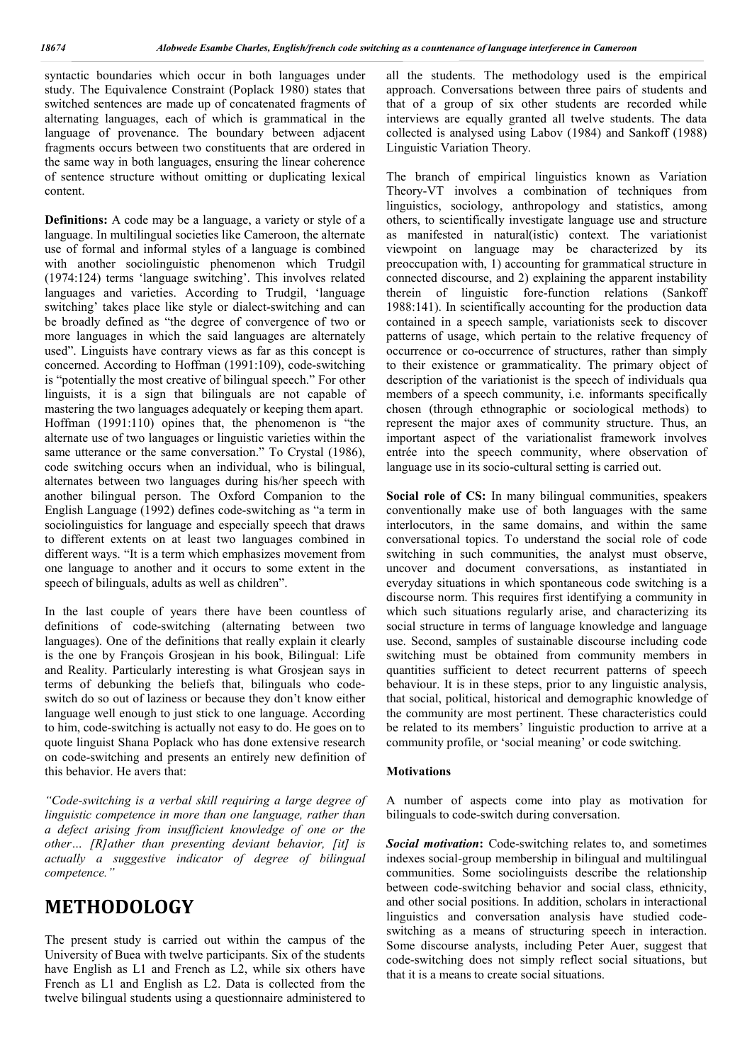syntactic boundaries which occur in both languages under study. The Equivalence Constraint (Poplack 1980) states that switched sentences are made up of concatenated fragments of alternating languages, each of which is grammatical in the language of provenance. The boundary between adjacent fragments occurs between two constituents that are ordered in the same way in both languages, ensuring the linear coherence of sentence structure without omitting or duplicating lexical content.

**Definitions:** A code may be a language, a variety or style of a language. In multilingual societies like Cameroon, the alternate use of formal and informal styles of a language is combined with another sociolinguistic phenomenon which Trudgil (1974:124) terms 'language switching'. This involves related languages and varieties. According to Trudgil, 'language switching' takes place like style or dialect-switching and can be broadly defined as "the degree of convergence of two or more languages in which the said languages are alternately used". Linguists have contrary views as far as this concept is concerned. According to Hoffman (1991:109), code-switching is "potentially the most creative of bilingual speech." For other linguists, it is a sign that bilinguals are not capable of mastering the two languages adequately or keeping them apart. Hoffman (1991:110) opines that, the phenomenon is "the alternate use of two languages or linguistic varieties within the same utterance or the same conversation." To Crystal (1986), code switching occurs when an individual, who is bilingual, alternates between two languages during his/her speech with another bilingual person. The Oxford Companion to the English Language (1992) defines code-switching as "a term in sociolinguistics for language and especially speech that draws to different extents on at least two languages combined in different ways. "It is a term which emphasizes movement from one language to another and it occurs to some extent in the speech of bilinguals, adults as well as children".

In the last couple of years there have been countless of definitions of code-switching (alternating between two languages). One of the definitions that really explain it clearly is the one by François Grosjean in his book, Bilingual: Life and Reality. Particularly interesting is what Grosjean says in terms of debunking the beliefs that, bilinguals who codeswitch do so out of laziness or because they don't know either language well enough to just stick to one language. According to him, code-switching is actually not easy to do. He goes on to quote linguist Shana Poplack who has done extensive research on code-switching and presents an entirely new definition of this behavior. He avers that:

*"Code-switching is a verbal skill requiring a large degree of linguistic competence in more than one language, rather than a defect arising from insufficient knowledge of one or the other… [R]ather than presenting deviant behavior, [it] is actually a suggestive indicator of degree of bilingual competence."*

## **METHODOLOGY**

The present study is carried out within the campus of the University of Buea with twelve participants. Six of the students have English as L1 and French as L2, while six others have French as L1 and English as L2. Data is collected from the twelve bilingual students using a questionnaire administered to all the students. The methodology used is the empirical approach. Conversations between three pairs of students and that of a group of six other students are recorded while interviews are equally granted all twelve students. The data collected is analysed using Labov (1984) and Sankoff (1988) Linguistic Variation Theory.

The branch of empirical linguistics known as Variation Theory-VT involves a combination of techniques from linguistics, sociology, anthropology and statistics, among others, to scientifically investigate language use and structure as manifested in natural(istic) context. The variationist viewpoint on language may be characterized by its preoccupation with, 1) accounting for grammatical structure in connected discourse, and 2) explaining the apparent instability therein of linguistic fore-function relations (Sankoff 1988:141). In scientifically accounting for the production data contained in a speech sample, variationists seek to discover patterns of usage, which pertain to the relative frequency of occurrence or co-occurrence of structures, rather than simply to their existence or grammaticality. The primary object of description of the variationist is the speech of individuals qua members of a speech community, i.e. informants specifically chosen (through ethnographic or sociological methods) to represent the major axes of community structure. Thus, an important aspect of the variationalist framework involves entrée into the speech community, where observation of language use in its socio-cultural setting is carried out.

Social role of CS: In many bilingual communities, speakers conventionally make use of both languages with the same interlocutors, in the same domains, and within the same conversational topics. To understand the social role of code switching in such communities, the analyst must observe, uncover and document conversations, as instantiated in everyday situations in which spontaneous code switching is a discourse norm. This requires first identifying a community in which such situations regularly arise, and characterizing its social structure in terms of language knowledge and language use. Second, samples of sustainable discourse including code switching must be obtained from community members in quantities sufficient to detect recurrent patterns of speech behaviour. It is in these steps, prior to any linguistic analysis, that social, political, historical and demographic knowledge of the community are most pertinent. These characteristics could be related to its members' linguistic production to arrive at a community profile, or 'social meaning' or code switching.

#### **Motivations**

A number of aspects come into play as motivation for bilinguals to code-switch during conversation.

*Social motivation***:** Code-switching relates to, and sometimes indexes social-group membership in bilingual and multilingual communities. Some sociolinguists describe the relationship between code-switching behavior and social class, ethnicity, and other social positions. In addition, scholars in interactional linguistics and conversation analysis have studied codeswitching as a means of structuring speech in interaction. Some discourse analysts, including Peter Auer, suggest that code-switching does not simply reflect social situations, but that it is a means to create social situations.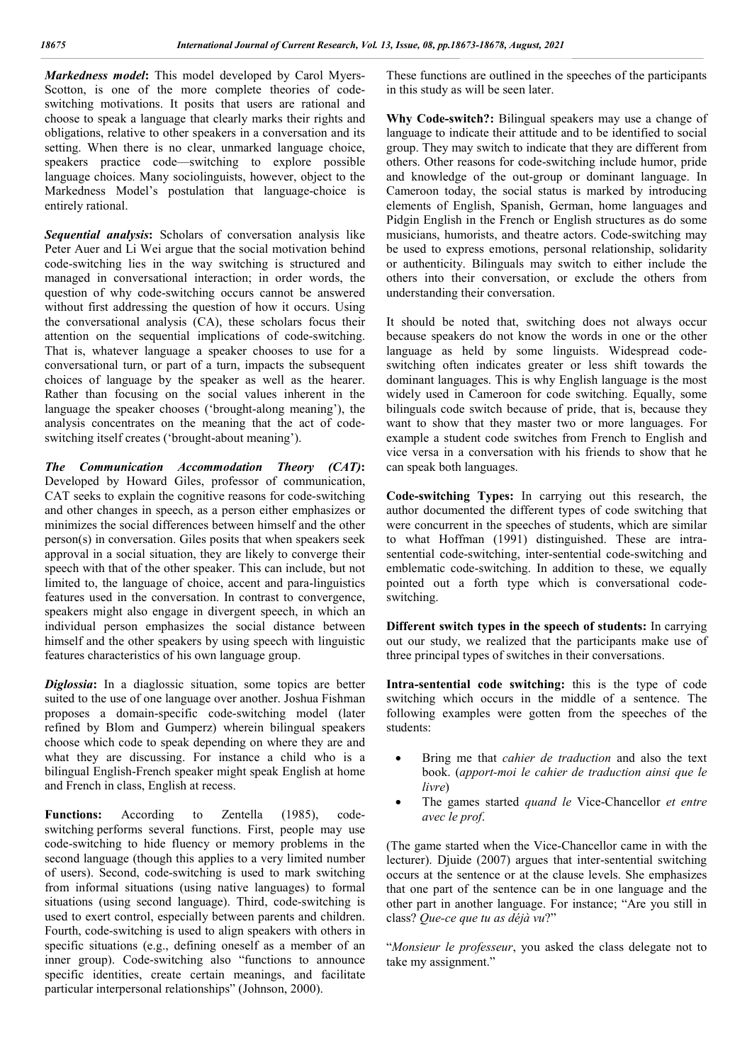*Markedness model***:** This model developed by Carol Myers-Scotton, is one of the more complete theories of codeswitching motivations. It posits that users are rational and choose to speak a language that clearly marks their rights and obligations, relative to other speakers in a conversation and its setting. When there is no clear, unmarked language choice, speakers practice code—switching to explore possible language choices. Many sociolinguists, however, object to the Markedness Model's postulation that language-choice is entirely rational.

*Sequential analysis***:** Scholars of conversation analysis like Peter Auer and Li Wei argue that the social motivation behind code-switching lies in the way switching is structured and managed in conversational interaction; in order words, the question of why code-switching occurs cannot be answered without first addressing the question of how it occurs. Using the conversational analysis (CA), these scholars focus their attention on the sequential implications of code-switching. That is, whatever language a speaker chooses to use for a conversational turn, or part of a turn, impacts the subsequent choices of language by the speaker as well as the hearer. Rather than focusing on the social values inherent in the language the speaker chooses ('brought-along meaning'), the analysis concentrates on the meaning that the act of codeswitching itself creates ('brought-about meaning').

*The Communication Accommodation Theory (CAT)***:** Developed by Howard Giles, professor of communication, CAT seeks to explain the cognitive reasons for code-switching and other changes in speech, as a person either emphasizes or minimizes the social differences between himself and the other person(s) in conversation. Giles posits that when speakers seek approval in a social situation, they are likely to converge their speech with that of the other speaker. This can include, but not limited to, the language of choice, accent and para-linguistics features used in the conversation. In contrast to convergence, speakers might also engage in divergent speech, in which an individual person emphasizes the social distance between himself and the other speakers by using speech with linguistic features characteristics of his own language group.

*Diglossia***:** In a diaglossic situation, some topics are better suited to the use of one language over another. Joshua Fishman proposes a domain-specific code-switching model (later refined by Blom and Gumperz) wherein bilingual speakers choose which code to speak depending on where they are and what they are discussing. For instance a child who is a bilingual English-French speaker might speak English at home and French in class, English at recess.

**Functions:** According to Zentella (1985), codeswitching performs several functions. First, people may use code-switching to hide fluency or memory problems in the second language (though this applies to a very limited number of users). Second, code-switching is used to mark switching from informal situations (using native languages) to formal situations (using second language). Third, code-switching is used to exert control, especially between parents and children. Fourth, code-switching is used to align speakers with others in specific situations (e.g., defining oneself as a member of an inner group). Code-switching also "functions to announce specific identities, create certain meanings, and facilitate particular interpersonal relationships" (Johnson, 2000).

These functions are outlined in the speeches of the participants in this study as will be seen later.

**Why Code-switch?:** Bilingual speakers may use a change of language to indicate their attitude and to be identified to social group. They may switch to indicate that they are different from others. Other reasons for code-switching include humor, pride and knowledge of the out-group or dominant language. In Cameroon today, the social status is marked by introducing elements of English, Spanish, German, home languages and Pidgin English in the French or English structures as do some musicians, humorists, and theatre actors. Code-switching may be used to express emotions, personal relationship, solidarity or authenticity. Bilinguals may switch to either include the others into their conversation, or exclude the others from understanding their conversation.

It should be noted that, switching does not always occur because speakers do not know the words in one or the other language as held by some linguists. Widespread codeswitching often indicates greater or less shift towards the dominant languages. This is why English language is the most widely used in Cameroon for code switching. Equally, some bilinguals code switch because of pride, that is, because they want to show that they master two or more languages. For example a student code switches from French to English and vice versa in a conversation with his friends to show that he can speak both languages.

**Code-switching Types:** In carrying out this research, the author documented the different types of code switching that were concurrent in the speeches of students, which are similar to what Hoffman (1991) distinguished. These are intrasentential code-switching, inter-sentential code-switching and emblematic code-switching. In addition to these, we equally pointed out a forth type which is conversational codeswitching.

**Different switch types in the speech of students:** In carrying out our study, we realized that the participants make use of three principal types of switches in their conversations.

**Intra-sentential code switching:** this is the type of code switching which occurs in the middle of a sentence. The following examples were gotten from the speeches of the students:

- Bring me that *cahier de traduction* and also the text book. (*apport-moi le cahier de traduction ainsi que le livre*)
- The games started *quand le* Vice-Chancellor *et entre avec le prof*.

(The game started when the Vice-Chancellor came in with the lecturer). Djuide (2007) argues that inter-sentential switching occurs at the sentence or at the clause levels. She emphasizes that one part of the sentence can be in one language and the other part in another language. For instance; "Are you still in class? *Que-ce que tu as déjà vu*?"

"*Monsieur le professeur*, you asked the class delegate not to take my assignment."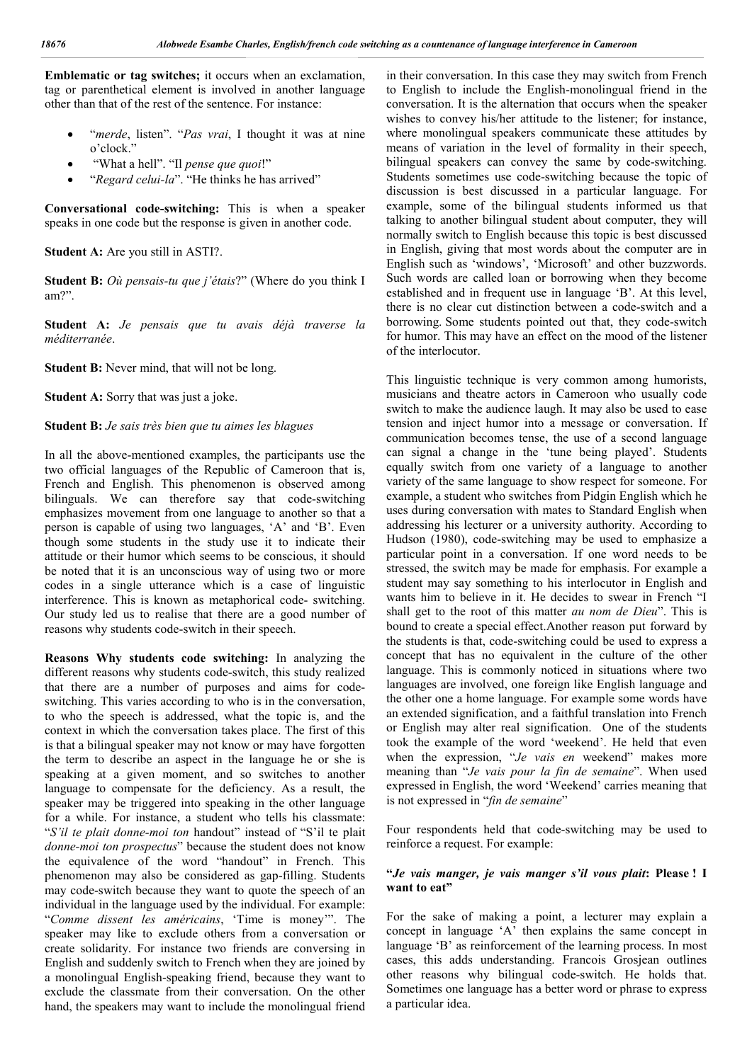**Emblematic or tag switches;** it occurs when an exclamation, tag or parenthetical element is involved in another language other than that of the rest of the sentence. For instance:

- "*merde*, listen". "*Pas vrai*, I thought it was at nine o'clock.'
- "What a hell". "Il *pense que quoi*!"
- "*Regard celui-la*". "He thinks he has arrived"

**Conversational code-switching:** This is when a speaker speaks in one code but the response is given in another code.

**Student A:** Are you still in ASTI?.

**Student B:** *Où pensais-tu que j'étais*?" (Where do you think I am?".

**Student A:** *Je pensais que tu avais déjà traverse la méditerranée*.

**Student B:** Never mind, that will not be long.

**Student A:** Sorry that was just a joke.

#### **Student B:** *Je sais très bien que tu aimes les blagues*

In all the above-mentioned examples, the participants use the two official languages of the Republic of Cameroon that is, French and English. This phenomenon is observed among bilinguals. We can therefore say that code-switching emphasizes movement from one language to another so that a person is capable of using two languages, 'A' and 'B'. Even though some students in the study use it to indicate their attitude or their humor which seems to be conscious, it should be noted that it is an unconscious way of using two or more codes in a single utterance which is a case of linguistic interference. This is known as metaphorical code- switching. Our study led us to realise that there are a good number of reasons why students code-switch in their speech.

**Reasons Why students code switching:** In analyzing the different reasons why students code-switch, this study realized that there are a number of purposes and aims for codeswitching. This varies according to who is in the conversation, to who the speech is addressed, what the topic is, and the context in which the conversation takes place. The first of this is that a bilingual speaker may not know or may have forgotten the term to describe an aspect in the language he or she is speaking at a given moment, and so switches to another language to compensate for the deficiency. As a result, the speaker may be triggered into speaking in the other language for a while. For instance, a student who tells his classmate: "*S'il te plait donne-moi ton* handout" instead of "S'il te plait *donne-moi ton prospectus*" because the student does not know the equivalence of the word "handout" in French. This phenomenon may also be considered as gap-filling. Students may code-switch because they want to quote the speech of an individual in the language used by the individual. For example: "*Comme dissent les américains*, 'Time is money'". The speaker may like to exclude others from a conversation or create solidarity. For instance two friends are conversing in English and suddenly switch to French when they are joined by a monolingual English-speaking friend, because they want to exclude the classmate from their conversation. On the other hand, the speakers may want to include the monolingual friend

in their conversation. In this case they may switch from French to English to include the English-monolingual friend in the conversation. It is the alternation that occurs when the speaker wishes to convey his/her attitude to the listener; for instance, where monolingual speakers communicate these attitudes by means of variation in the level of formality in their speech, bilingual speakers can convey the same by code-switching. Students sometimes use code-switching because the topic of discussion is best discussed in a particular language. For example, some of the bilingual students informed us that talking to another bilingual student about computer, they will normally switch to English because this topic is best discussed in English, giving that most words about the computer are in English such as 'windows', 'Microsoft' and other buzzwords. Such words are called loan or borrowing when they become established and in frequent use in language 'B'. At this level, there is no clear cut distinction between a code-switch and a borrowing. Some students pointed out that, they code-switch for humor. This may have an effect on the mood of the listener of the interlocutor.

This linguistic technique is very common among humorists, musicians and theatre actors in Cameroon who usually code switch to make the audience laugh. It may also be used to ease tension and inject humor into a message or conversation. If communication becomes tense, the use of a second language can signal a change in the 'tune being played'. Students equally switch from one variety of a language to another variety of the same language to show respect for someone. For example, a student who switches from Pidgin English which he uses during conversation with mates to Standard English when addressing his lecturer or a university authority. According to Hudson (1980), code-switching may be used to emphasize a particular point in a conversation. If one word needs to be stressed, the switch may be made for emphasis. For example a student may say something to his interlocutor in English and wants him to believe in it. He decides to swear in French "I shall get to the root of this matter *au nom de Dieu*". This is bound to create a special effect.Another reason put forward by the students is that, code-switching could be used to express a concept that has no equivalent in the culture of the other language. This is commonly noticed in situations where two languages are involved, one foreign like English language and the other one a home language. For example some words have an extended signification, and a faithful translation into French or English may alter real signification. One of the students took the example of the word 'weekend'. He held that even when the expression, "*Je vais en* weekend" makes more meaning than "*Je vais pour la fin de semaine*". When used expressed in English, the word 'Weekend' carries meaning that is not expressed in "*fin de semaine*"

Four respondents held that code-switching may be used to reinforce a request. For example:

#### **"***Je vais manger, je vais manger s'il vous plait***: Please ! I want to eat"**

For the sake of making a point, a lecturer may explain a concept in language 'A' then explains the same concept in language 'B' as reinforcement of the learning process. In most cases, this adds understanding. Francois Grosjean outlines other reasons why bilingual code-switch. He holds that. Sometimes one language has a better word or phrase to express a particular idea.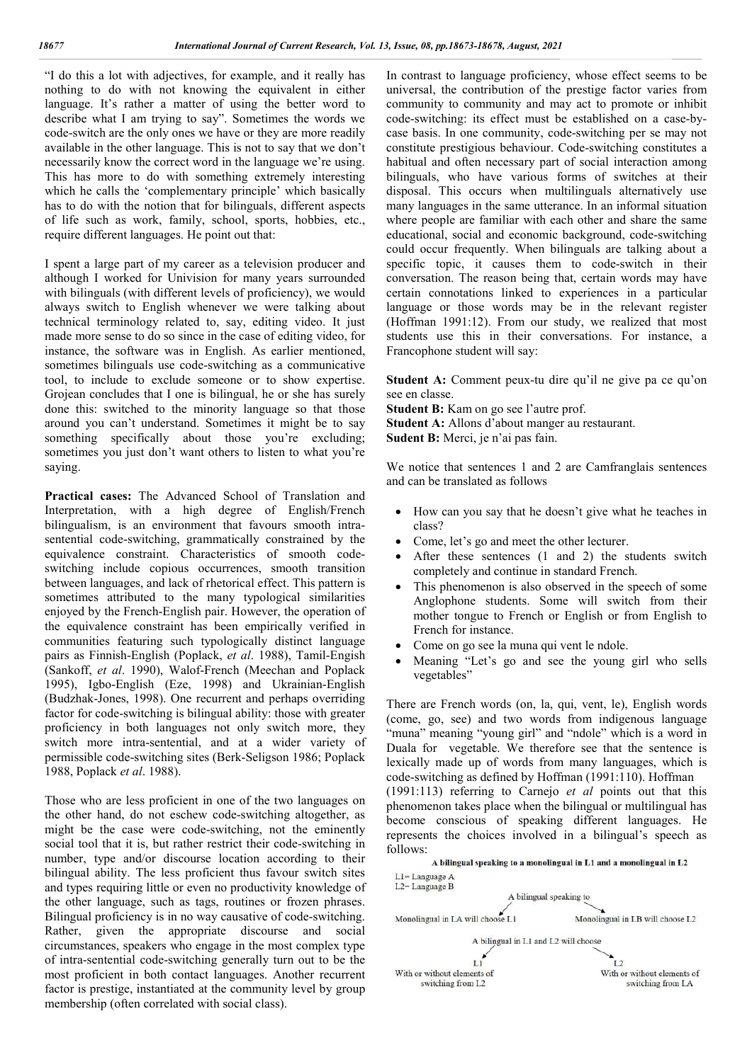"I do this a lot with adjectives, for example, and it really has nothing to do with not knowing the equivalent in either language. It's rather a matter of using the better word to describe what I am trying to say". Sometimes the words we code-switch are the only ones we have or they are more readily available in the other language. This is not to say that we don't necessarily know the correct word in the language we're using. This has more to do with something extremely interesting which he calls the 'complementary principle' which basically has to do with the notion that for bilinguals, different aspects of life such as work, family, school, sports, hobbies, etc., require different languages. He point out that:

I spent a large part of my career as a television producer and although I worked for Univision for many years surrounded with bilinguals (with different levels of proficiency), we would always switch to English whenever we were talking about technical terminology related to, say, editing video. It just made more sense to do so since in the case of editing video, for instance, the software was in English. As earlier mentioned, sometimes bilinguals use code-switching as a communicative tool, to include to exclude someone or to show expertise. Grojean concludes that I one is bilingual, he or she has surely done this: switched to the minority language so that those around you can't understand. Sometimes it might be to say something specifically about those you're excluding; sometimes you just don't want others to listen to what you're saying.

**Practical cases:** The Advanced School of Translation and Interpretation, with a high degree of English/French bilingualism, is an environment that favours smooth intrasentential code-switching, grammatically constrained by the equivalence constraint. Characteristics of smooth codeswitching include copious occurrences, smooth transition between languages, and lack of rhetorical effect. This pattern is sometimes attributed to the many typological similarities enjoyed by the French-English pair. However, the operation of the equivalence constraint has been empirically verified in communities featuring such typologically distinct language pairs as Finnish-English (Poplack, *et al*. 1988), Tamil-Engish (Sankoff, *et al*. 1990), Walof-French (Meechan and Poplack 1995), Igbo-English (Eze, 1998) and Ukrainian-English (Budzhak-Jones, 1998). One recurrent and perhaps overriding factor for code-switching is bilingual ability: those with greater proficiency in both languages not only switch more, they switch more intra-sentential, and at a wider variety of permissible code-switching sites (Berk-Seligson 1986; Poplack 1988, Poplack *et al*. 1988).

Those who are less proficient in one of the two languages on the other hand, do not eschew code-switching altogether, as might be the case were code-switching, not the eminently social tool that it is, but rather restrict their code-switching in number, type and/or discourse location according to their bilingual ability. The less proficient thus favour switch sites and types requiring little or even no productivity knowledge of the other language, such as tags, routines or frozen phrases. Bilingual proficiency is in no way causative of code-switching. Rather, given the appropriate discourse and social circumstances, speakers who engage in the most complex type of intra-sentential code-switching generally turn out to be the most proficient in both contact languages. Another recurrent factor is prestige, instantiated at the community level by group membership (often correlated with social class).

In contrast to language proficiency, whose effect seems to be universal, the contribution of the prestige factor varies from community to community and may act to promote or inhibit code-switching: its effect must be established on a case-bycase basis. In one community, code-switching per se may not constitute prestigious behaviour. Code-switching constitutes a habitual and often necessary part of social interaction among bilinguals, who have various forms of switches at their disposal. This occurs when multilinguals alternatively use many languages in the same utterance. In an informal situation where people are familiar with each other and share the same educational, social and economic background, code-switching could occur frequently. When bilinguals are talking about a specific topic, it causes them to code-switch in their conversation. The reason being that, certain words may have certain connotations linked to experiences in a particular language or those words may be in the relevant register (Hoffman 1991:12). From our study, we realized that most students use this in their conversations. For instance, a Francophone student will say:

Student A: Comment peux-tu dire qu'il ne give pa ce qu'on see en classe.

**Student B:** Kam on go see l'autre prof. **Student A:** Allons d'about manger au restaurant. **Sudent B:** Merci, je n'ai pas fain.

We notice that sentences 1 and 2 are Camfranglais sentences and can be translated as follows

- How can you say that he doesn't give what he teaches in class?
- Come, let's go and meet the other lecturer.
- After these sentences (1 and 2) the students switch completely and continue in standard French.
- This phenomenon is also observed in the speech of some Anglophone students. Some will switch from their mother tongue to French or English or from English to French for instance.
- Come on go see la muna qui vent le ndole.
- Meaning "Let's go and see the young girl who sells vegetables"

There are French words (on, la, qui, vent, le), English words (come, go, see) and two words from indigenous language "muna" meaning "young girl" and "ndole" which is a word in Duala for vegetable. We therefore see that the sentence is lexically made up of words from many languages, which is code-switching as defined by Hoffman (1991:110). Hoffman (1991:113) referring to Carnejo *et al* points out that this phenomenon takes place when the bilingual or multilingual has become conscious of speaking different languages. He represents the choices involved in a bilingual's speech as follows:

A bilingual speaking to a monolingual in L1 and a monolingual in L2 L1=Language A